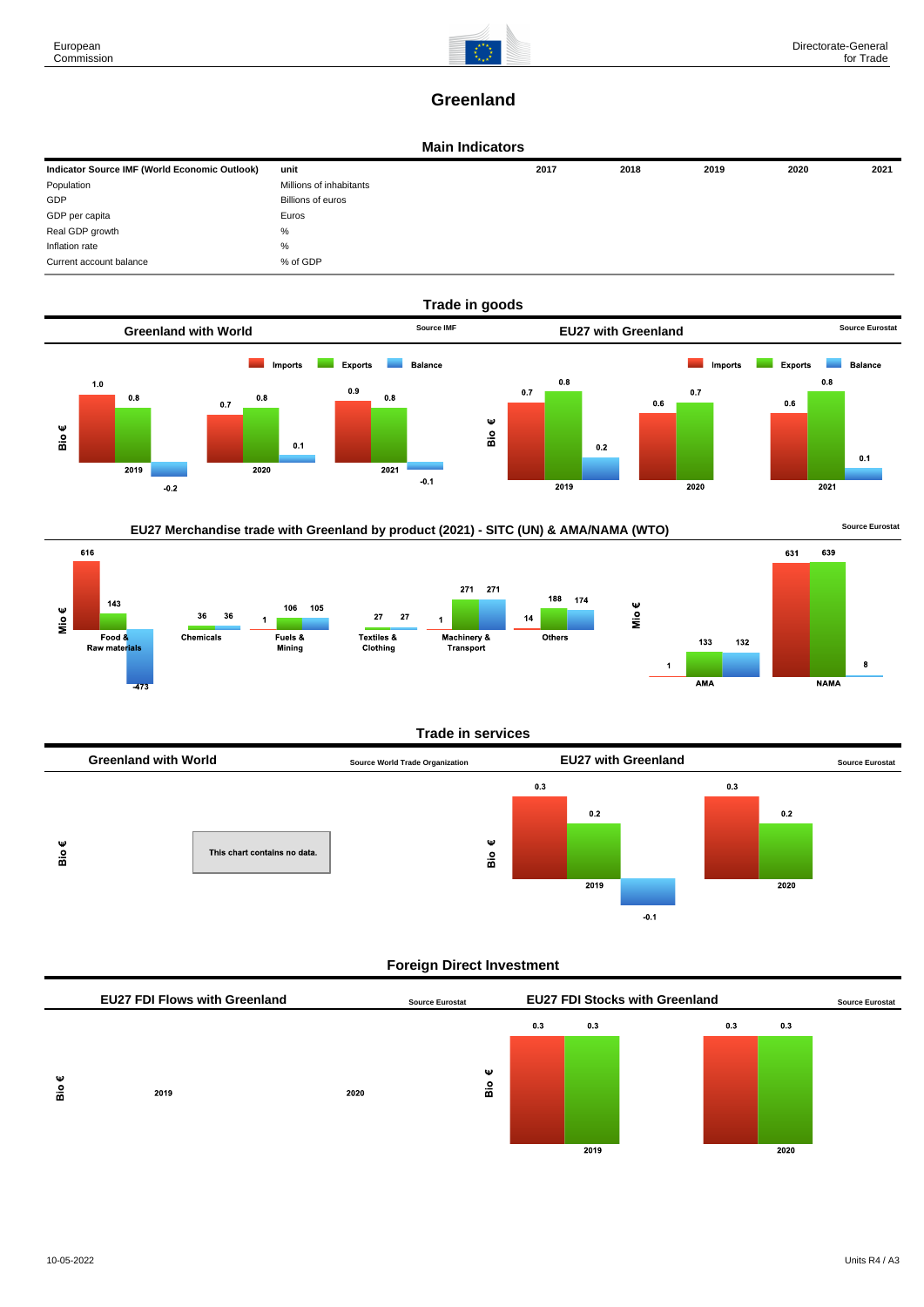

# **Greenland**

#### **Main Indicators**

| Indicator Source IMF (World Economic Outlook) | unit                    | 2017 | 2018 | 2019 | 2020 | 2021 |
|-----------------------------------------------|-------------------------|------|------|------|------|------|
| Population                                    | Millions of inhabitants |      |      |      |      |      |
| GDP                                           | Billions of euros       |      |      |      |      |      |
| GDP per capita                                | Euros                   |      |      |      |      |      |
| Real GDP growth                               | %                       |      |      |      |      |      |
| Inflation rate                                | %                       |      |      |      |      |      |
| Current account balance                       | % of GDP                |      |      |      |      |      |



# EU27 Merchandise trade with Greenland by product (2021) - SITC (UN) & AMA/NAMA (WTO) **Source Eurostat**





#### **Trade in services**



## **Foreign Direct Investment**